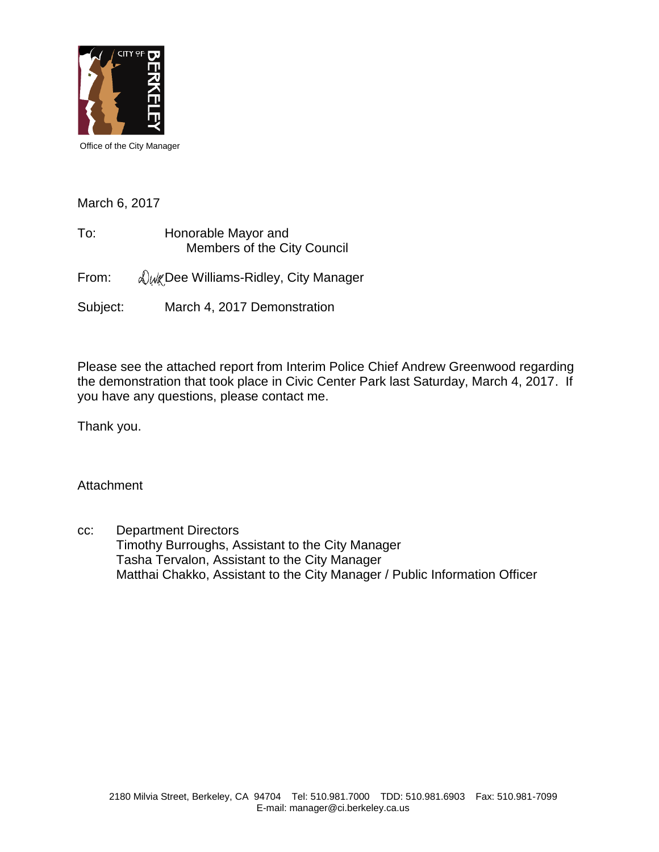

Office of the City Manager

March 6, 2017

To: Honorable Mayor and Members of the City Council

From:  $\sqrt{\frac{w}{k}}$  Dee Williams-Ridley, City Manager

Subject: March 4, 2017 Demonstration

Please see the attached report from Interim Police Chief Andrew Greenwood regarding the demonstration that took place in Civic Center Park last Saturday, March 4, 2017. If you have any questions, please contact me.

Thank you.

**Attachment** 

cc: Department Directors Timothy Burroughs, Assistant to the City Manager Tasha Tervalon, Assistant to the City Manager Matthai Chakko, Assistant to the City Manager / Public Information Officer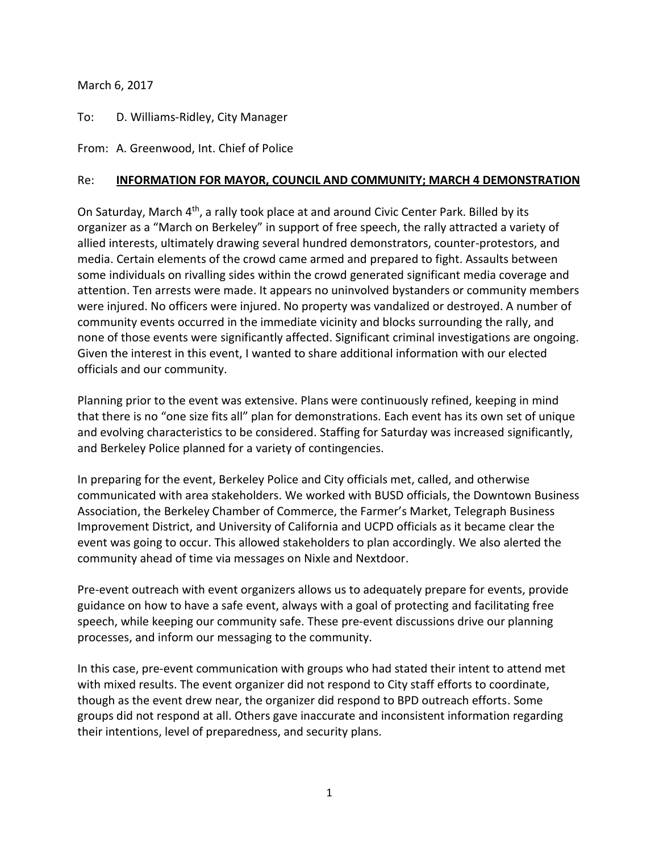## March 6, 2017

## To: D. Williams-Ridley, City Manager

From: A. Greenwood, Int. Chief of Police

## Re: **INFORMATION FOR MAYOR, COUNCIL AND COMMUNITY; MARCH 4 DEMONSTRATION**

On Saturday, March 4th, a rally took place at and around Civic Center Park. Billed by its organizer as a "March on Berkeley" in support of free speech, the rally attracted a variety of allied interests, ultimately drawing several hundred demonstrators, counter-protestors, and media. Certain elements of the crowd came armed and prepared to fight. Assaults between some individuals on rivalling sides within the crowd generated significant media coverage and attention. Ten arrests were made. It appears no uninvolved bystanders or community members were injured. No officers were injured. No property was vandalized or destroyed. A number of community events occurred in the immediate vicinity and blocks surrounding the rally, and none of those events were significantly affected. Significant criminal investigations are ongoing. Given the interest in this event, I wanted to share additional information with our elected officials and our community.

Planning prior to the event was extensive. Plans were continuously refined, keeping in mind that there is no "one size fits all" plan for demonstrations. Each event has its own set of unique and evolving characteristics to be considered. Staffing for Saturday was increased significantly, and Berkeley Police planned for a variety of contingencies.

In preparing for the event, Berkeley Police and City officials met, called, and otherwise communicated with area stakeholders. We worked with BUSD officials, the Downtown Business Association, the Berkeley Chamber of Commerce, the Farmer's Market, Telegraph Business Improvement District, and University of California and UCPD officials as it became clear the event was going to occur. This allowed stakeholders to plan accordingly. We also alerted the community ahead of time via messages on Nixle and Nextdoor.

Pre-event outreach with event organizers allows us to adequately prepare for events, provide guidance on how to have a safe event, always with a goal of protecting and facilitating free speech, while keeping our community safe. These pre-event discussions drive our planning processes, and inform our messaging to the community.

In this case, pre-event communication with groups who had stated their intent to attend met with mixed results. The event organizer did not respond to City staff efforts to coordinate, though as the event drew near, the organizer did respond to BPD outreach efforts. Some groups did not respond at all. Others gave inaccurate and inconsistent information regarding their intentions, level of preparedness, and security plans.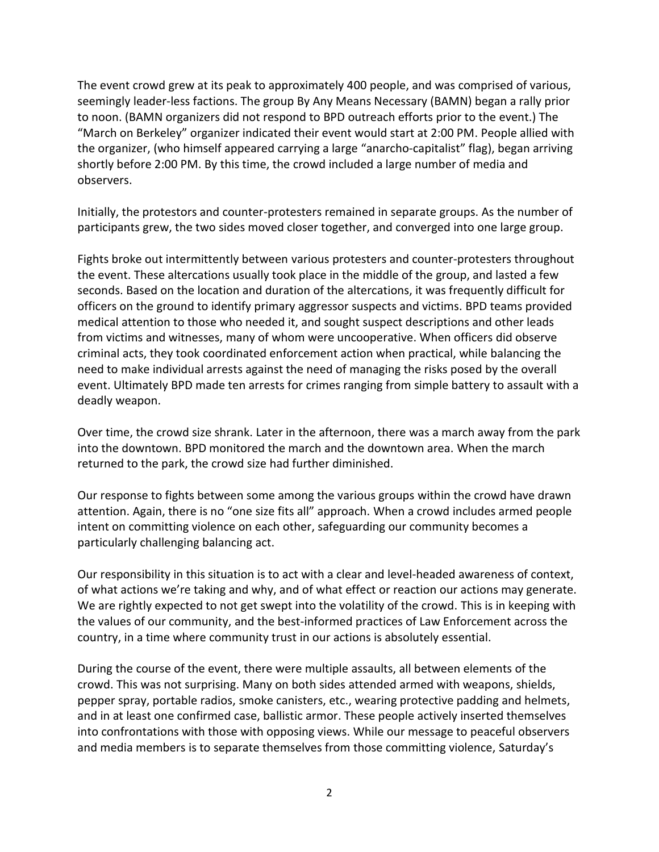The event crowd grew at its peak to approximately 400 people, and was comprised of various, seemingly leader-less factions. The group By Any Means Necessary (BAMN) began a rally prior to noon. (BAMN organizers did not respond to BPD outreach efforts prior to the event.) The "March on Berkeley" organizer indicated their event would start at 2:00 PM. People allied with the organizer, (who himself appeared carrying a large "anarcho-capitalist" flag), began arriving shortly before 2:00 PM. By this time, the crowd included a large number of media and observers.

Initially, the protestors and counter-protesters remained in separate groups. As the number of participants grew, the two sides moved closer together, and converged into one large group.

Fights broke out intermittently between various protesters and counter-protesters throughout the event. These altercations usually took place in the middle of the group, and lasted a few seconds. Based on the location and duration of the altercations, it was frequently difficult for officers on the ground to identify primary aggressor suspects and victims. BPD teams provided medical attention to those who needed it, and sought suspect descriptions and other leads from victims and witnesses, many of whom were uncooperative. When officers did observe criminal acts, they took coordinated enforcement action when practical, while balancing the need to make individual arrests against the need of managing the risks posed by the overall event. Ultimately BPD made ten arrests for crimes ranging from simple battery to assault with a deadly weapon.

Over time, the crowd size shrank. Later in the afternoon, there was a march away from the park into the downtown. BPD monitored the march and the downtown area. When the march returned to the park, the crowd size had further diminished.

Our response to fights between some among the various groups within the crowd have drawn attention. Again, there is no "one size fits all" approach. When a crowd includes armed people intent on committing violence on each other, safeguarding our community becomes a particularly challenging balancing act.

Our responsibility in this situation is to act with a clear and level-headed awareness of context, of what actions we're taking and why, and of what effect or reaction our actions may generate. We are rightly expected to not get swept into the volatility of the crowd. This is in keeping with the values of our community, and the best-informed practices of Law Enforcement across the country, in a time where community trust in our actions is absolutely essential.

During the course of the event, there were multiple assaults, all between elements of the crowd. This was not surprising. Many on both sides attended armed with weapons, shields, pepper spray, portable radios, smoke canisters, etc., wearing protective padding and helmets, and in at least one confirmed case, ballistic armor. These people actively inserted themselves into confrontations with those with opposing views. While our message to peaceful observers and media members is to separate themselves from those committing violence, Saturday's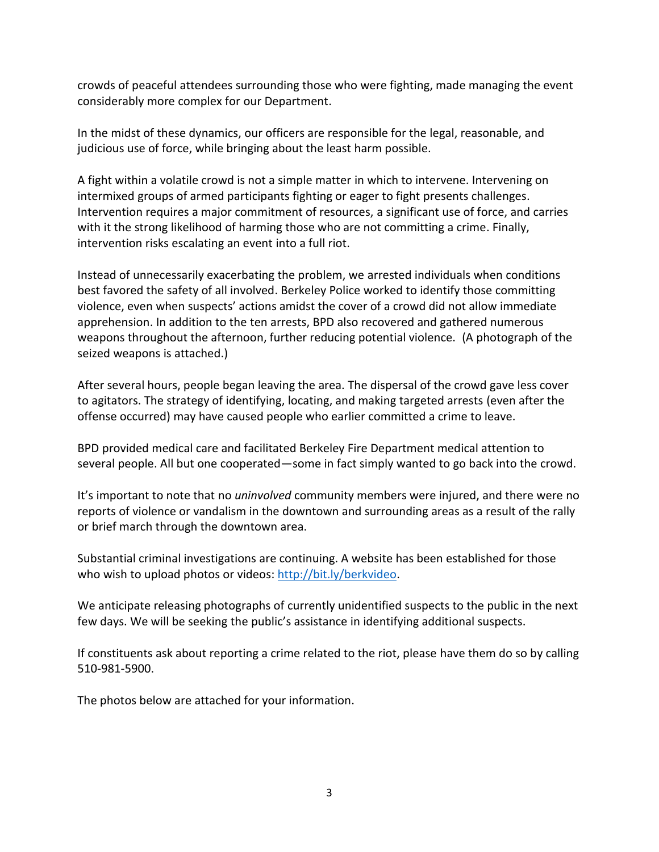crowds of peaceful attendees surrounding those who were fighting, made managing the event considerably more complex for our Department.

In the midst of these dynamics, our officers are responsible for the legal, reasonable, and judicious use of force, while bringing about the least harm possible.

A fight within a volatile crowd is not a simple matter in which to intervene. Intervening on intermixed groups of armed participants fighting or eager to fight presents challenges. Intervention requires a major commitment of resources, a significant use of force, and carries with it the strong likelihood of harming those who are not committing a crime. Finally, intervention risks escalating an event into a full riot.

Instead of unnecessarily exacerbating the problem, we arrested individuals when conditions best favored the safety of all involved. Berkeley Police worked to identify those committing violence, even when suspects' actions amidst the cover of a crowd did not allow immediate apprehension. In addition to the ten arrests, BPD also recovered and gathered numerous weapons throughout the afternoon, further reducing potential violence. (A photograph of the seized weapons is attached.)

After several hours, people began leaving the area. The dispersal of the crowd gave less cover to agitators. The strategy of identifying, locating, and making targeted arrests (even after the offense occurred) may have caused people who earlier committed a crime to leave.

BPD provided medical care and facilitated Berkeley Fire Department medical attention to several people. All but one cooperated—some in fact simply wanted to go back into the crowd.

It's important to note that no *uninvolved* community members were injured, and there were no reports of violence or vandalism in the downtown and surrounding areas as a result of the rally or brief march through the downtown area.

Substantial criminal investigations are continuing. A website has been established for those who wish to upload photos or videos: [http://bit.ly/berkvideo.](http://bit.ly/berkvideo)

We anticipate releasing photographs of currently unidentified suspects to the public in the next few days. We will be seeking the public's assistance in identifying additional suspects.

If constituents ask about reporting a crime related to the riot, please have them do so by calling 510-981-5900.

The photos below are attached for your information.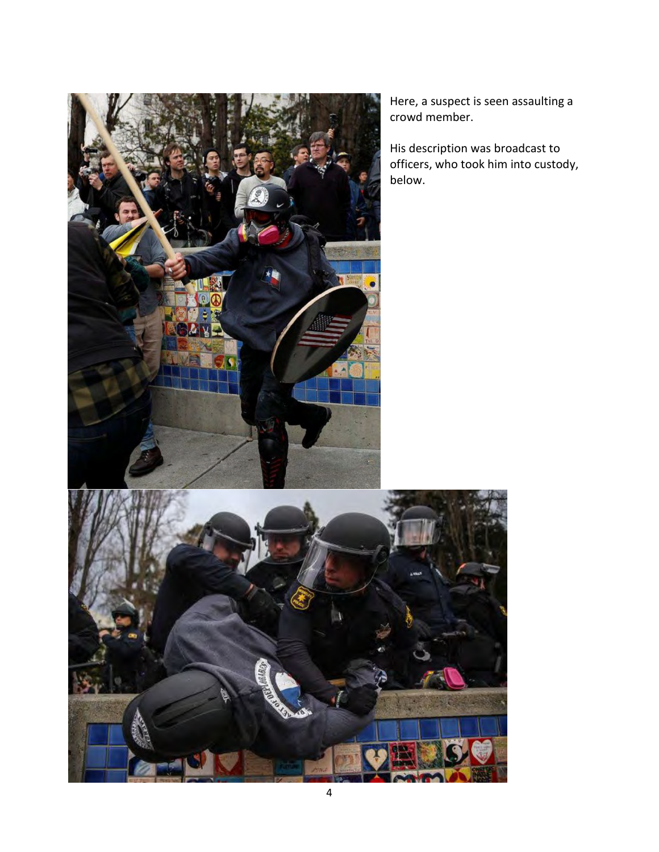

Here, a suspect is seen assaulting a crowd member.

His description was broadcast to officers, who took him into custody, below.

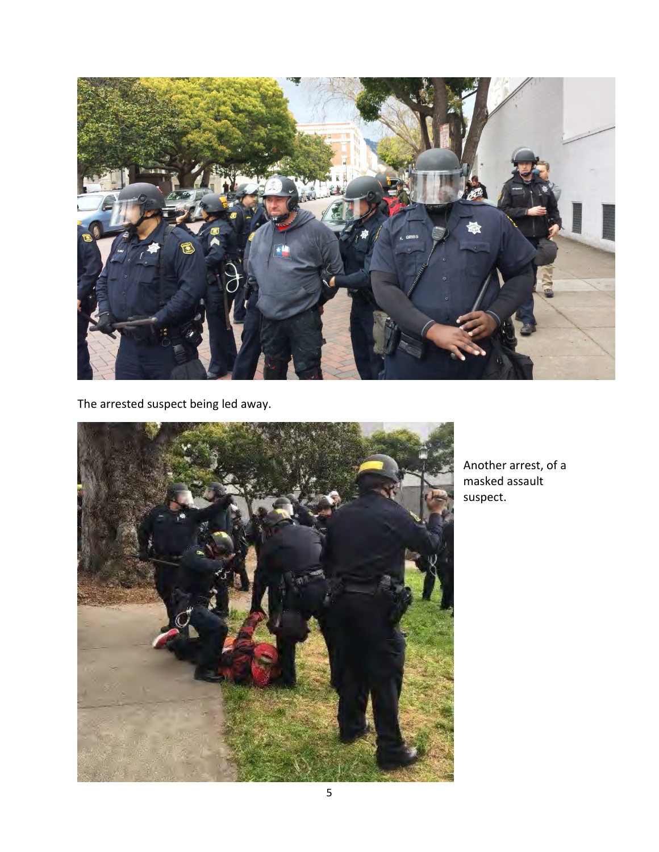

The arrested suspect being led away.



Another arrest, of a masked assault suspect.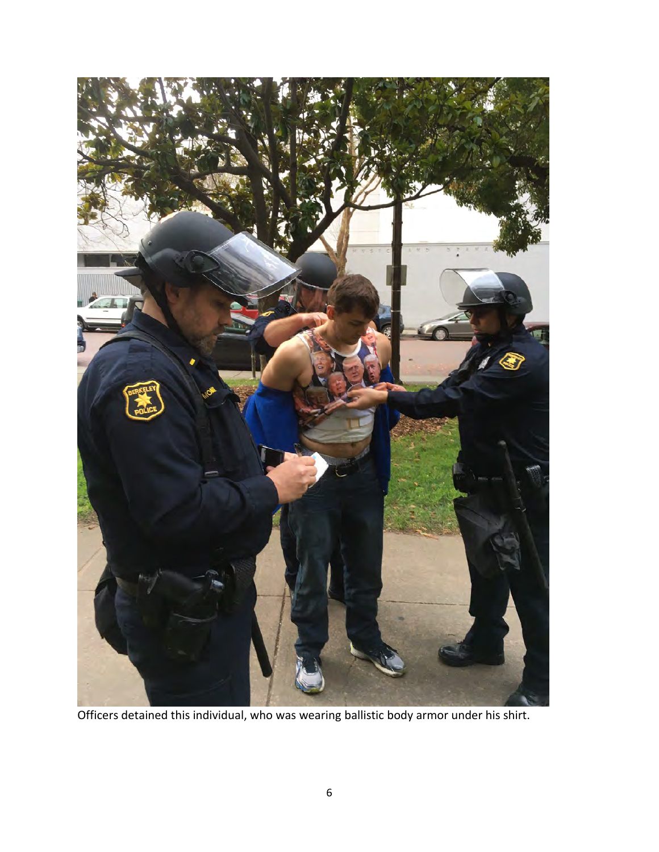

Officers detained this individual, who was wearing ballistic body armor under his shirt.